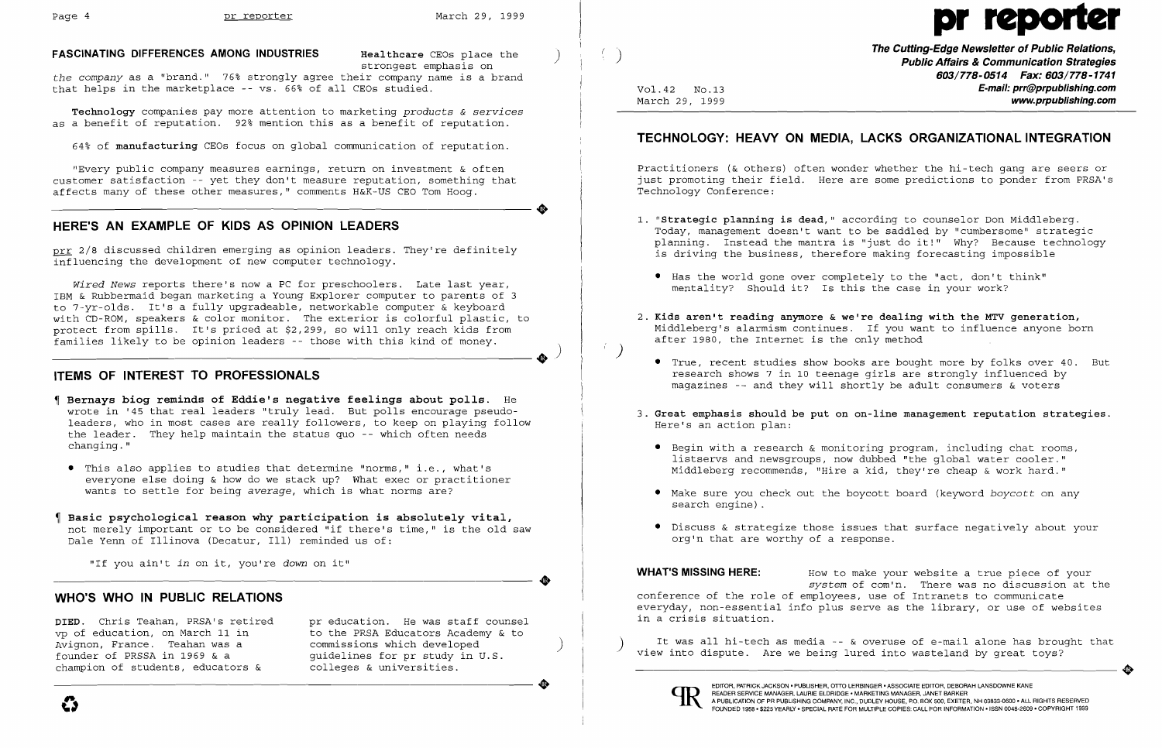*the company* as a "brand." 76% strongly agree their company name is a brand that helps in the marketplace -- vs. 66% of all CEOs studied.

"Every public company measures earnings, return on investment & often<br>customer satisfaction -- yet they don't measure reputation, something that<br>affects many of these other measures," comments H&K-US CEO Tom Hoog. "Every public company measures earnings, return on investment & often customer satisfaction -- yet they don't measure reputation, something that affects many of these other measures," comments H&K-US CEO Tom Hoog.

**Technology** companies pay more attention to marketing *products* & *services*  as a benefit of reputation. 92% mention this as a benefit of reputation.

*Wired News* reports there's now a PC for preschoolers. Late last year, IBM & Rubbermaid began marketing a Young Explorer computer to parents of 3 to 7-yr-olds. It's a fully upgradeable, networkable computer & keyboard with CD-ROM, speakers & color monitor. The exterior is colorful plastic, to with the Ron, speakers a coror monitor. The externor is conditant prastic,<br>protect from spills. It's priced at \$2,299, so will only reach kids from families likely to be opinion leaders -- those with this kind of money. c, to<br>om<br> $\qquad \qquad \bullet$ 

64% of **manufacturing** CEOs focus on global communication of reputation.

.

 $\left( \begin{array}{c} 1 \\ 1 \end{array} \right)$ 

**•** 

**FASCINATING DIFFERENCES AMONG INDUSTRIES Healthcare** CEOs place the strongest emphasis on

# **HERE'S AN EXAMPLE OF KIDS AS OPINION LEADERS**

prr 2/8 discussed children emerging as opinion leaders. They're definitely influencing the development of new computer technology.

pr education. He was staff counsel to the PRSA Educators Academy & to commissions which developed ) guidelines for pr study in U.S. colleges & universities. Founder of PRSSA in 1969 & a guidelines for pr study in U.S.<br>champion of students, educators & colleges & universities.

#### **ITEMS OF INTEREST TO PROFESSIONALS**

- **Bernays biog reminds of Eddie's negative feelings about polls.** He wrote in '45 that real leaders "truly lead. But polls encourage pseudo leaders, who in most cases are really followers, to keep on playing follow the leader. They help maintain the status quo -- which often needs changing."
- • This also applies to studies that determine "norms," i.e., what's everyone else doing & how do we stack up? What exec or practitioner wants to settle for being *average,* which is what norms are?
- **Basic psychological reason why participation is absolutely vital,**  not merely important or to be considered "if there's time," is the old saw Dale Yenn of Illinova (Decatur, Ill) reminded us of:

2. Kids aren't reading anymore & we're dealing with the MTV generation, Middleberg's alarmism continues. If you want to influence anyone born

 $\bullet$  Begin with a research & monitoring program, including chat rooms, listservs and newsgroups, now dubbed "the global water cooler." Middleberg recommends, "Hire a kid, they're cheap & work hard."

"If you ain't *in* on it, you're *down* on it"

#### **WHO'S WHO IN PUBLIC RELATIONS**

**DIED.** Chris Teahan, PRSA's retired vp of education, on March 11 in Avignon, France. Teahan was a founder of PRSSA in 1969 & a champion of students, educators &

**WHAT'S MISSING HERE:** How to make your website a true piece of your *system* of com'n. There was no discussion at the conference of the role of employees, use of Intranets to communicate everyday, non-essential info plus serve as the library, or use of websites in a crisis situation.

It was all hi-tech as media -- & overuse of e-mail alone has brought that<br>view into dispute. Are we being lured into wasteland by great toys?



# Page 4 pr reporter March 29, 1999

**The Cutting-Edge Newsletter of Public Relations,** ) **Public Affairs &Communication Strategies 603/778-0514 Fax: 603/778-1741**  Vol.42 No.13<br>March 29, 1999 **E-mail: prr@prpublishing.com** March 29, 1999 **www.prpublishing.com** 

# **TECHNOLOGY: HEAVY ON MEDIA, LACKS ORGANIZATIONAL INTEGRATION**

Practitioners (& others) often wonder whether the hi-tech gang are seers or just promoting their field. Here are some predictions to ponder from PRSA's Technology Conference:

1. **"Strategic planning is dead,"** according to counselor Don Middleberg. Today, management doesn't want to be saddled by "cumbersome" strategic planning. Instead the mantra is "just do it!" Why? Because technology

• True, recent studies show books are bought more by folks over 40. But research shows 7 in 10 teenage girls are strongly influenced by magazines -- and they will shortly be adult consumers & voters

- is driving the business, therefore making forecasting impossible
- • Has the world gone over completely to the "act, don't think" mentality? Should it? Is this the case in your work?
- after 1980, the Internet is the only method
	-
- Here's an action plan:
	-
	- search engine) .
	- org'n that are worthy of a response.

#### 3. **Great emphasis should be put on on-line management reputation strategies.**

• Make sure you check out the boycott board (keyword *boycott* on any

• Discuss & strategize those issues that surface negatively about your